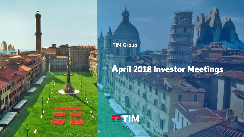**TIM Group**

# April 2018 Investor Meetings

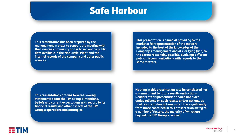# Safe Harbour

This presentation has been prepared by the management in order to support the meeting with the financial community and is based on the public data available in the "Industrial Plan" and the internal records of the company and other public sources.

This presentation is aimed at providing to the market a fair representation of the matters included to the best of the knowledge of the Company's management and at clarifying (and, to the extent reasonably possible, avoiding) different public miscommunications with regards to the same matters.

This presentation contains forward-looking statements about the TIM Group's intentions, beliefs and current expectations with regard to its financial results and other aspects of the TIM Group's operations and strategies.

Nothing in this presentation is to be considered has a commitment to future results and actions. Readers of this presentation should not place undue reliance on such results and/or actions, as final results and/or actions may differ significantly from those contained in this presentation owing to a number of factors, the majority of which are beyond the TIM Group's control.

== TIM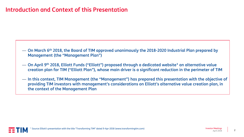### Introduction and Context of this Presentation

- $-$  On March 6<sup>th</sup> 2018, the Board of TIM approved unanimously the 2018-2020 Industrial Plan prepared by Management (the "Management Plan")
- $-$  On April 9th 2018, Elliott Funds ("Elliott") proposed through a dedicated website $^{\rm 1}$  an alternative value creation plan for TIM ("Elliott Plan"), whose main driver is a significant reduction in the perimeter of TIM
- In this context, TIM Management (the "Management") has prepared this presentation with the objective of providing TIM investors with management's considerations on Elliott's alternative value creation plan, in the context of the Management Plan



2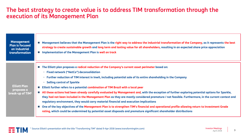### The best strategy to create value is to address TIM transformation through the execution of its Management Plan

| <b>Management</b><br><b>Plan is focused</b><br>on industrial<br>transformation | ■ Management believes that the Management Plan is the right way to address the industrial transformation of the Company, as it represents the best<br>strategy to create sustainable growth and long term and lasting value for all shareholders, resulting in an expected share price appreciation<br><b>In Implementation of the Management Plan is well on track</b>                                                                                                                                                                                                                                                                                                                                                                                                                                                                                                                                                                                                                                                                                                                                  |
|--------------------------------------------------------------------------------|----------------------------------------------------------------------------------------------------------------------------------------------------------------------------------------------------------------------------------------------------------------------------------------------------------------------------------------------------------------------------------------------------------------------------------------------------------------------------------------------------------------------------------------------------------------------------------------------------------------------------------------------------------------------------------------------------------------------------------------------------------------------------------------------------------------------------------------------------------------------------------------------------------------------------------------------------------------------------------------------------------------------------------------------------------------------------------------------------------|
| <b>Elliott Plan</b><br>proposes a<br>break-up of TIM <sup>1</sup>              | ■ The Elliott plan proposes a radical reduction of the Company's current asset perimeter based on:<br>- Fixed network ("NetCo") deconsolidation<br>Further reduction of TIM interest in Inwit, including potential sale of its entire shareholding in the Company<br>$\overline{\phantom{m}}$<br><b>Selling control of Sparkle</b><br>-<br>Elliott further refers to a potential combination of TIM Brazil with a local peer<br>All these actions had been already carefully evaluated by Management and, with the exception of further exploring potential options for Sparkle,<br>they had not been included in the Management Plan as they are mostly considered premature / not feasible. Furthermore, in the current context and<br>regulatory environment, they would carry material financial and execution implications<br>■ One of the key objectives of the Management Plan is to strengthen TIM's financial and operational profile allowing return to Investment Grade<br>rating, which could be undermined by potential asset disposals and premature significant shareholder distributions |

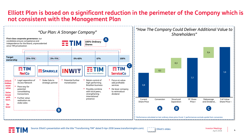### Elliott Plan is based on a significant reduction in the perimeter of the Company which is not consistent with the Management Plan





Elliott's slides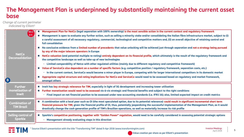### The Management Plan is underpinned by substantially maintaining the current asset base

*Change of current perimeter indicated by Elliott<sup>1</sup>*

| €0.3                                           | Management Plan for NetCo (legal separation with 100% ownership) is the most sensible action in the current context and regulatory framework                                                                                                                                                                                                                                                                                                                   |
|------------------------------------------------|----------------------------------------------------------------------------------------------------------------------------------------------------------------------------------------------------------------------------------------------------------------------------------------------------------------------------------------------------------------------------------------------------------------------------------------------------------------|
| <b>p.s.</b><br><b>NetCo</b><br>Deconsolidation | Management is open to evaluate any further action, such as selling a minority stake and/or consolidating the Italian fibre infrastructure market, subject to (i)<br>a careful assessment of all necessary regulatory, commercial, technological and competitive matters and, (ii) an overall objective of retaining control and<br>full consolidation                                                                                                          |
|                                                | No conclusive evidence from a limited number of precedents that value unlocking will be achieved just through separation and not a strategy being pursued<br>by any of the major telecom operators in Europe                                                                                                                                                                                                                                                   |
|                                                | NetCo valuation (and potential multiple re-rating) entirely dependent on its financial profile, which ultimately is the result of the regulatory framework and<br>the competitive landscape as well as take-up of new technologies                                                                                                                                                                                                                             |
|                                                | - Limited comparability of Netco with other regulated utilities (mainly due to different regulatory and competitive framework)                                                                                                                                                                                                                                                                                                                                 |
|                                                | Value of ServiceCo also dependent on a number of specific factors (e.g. competitive position / regulatory framework, separation costs, etc.)                                                                                                                                                                                                                                                                                                                   |
|                                                | - In the current context, ServiceCo would become a minor player in Europe, competing with far larger international competitors in its domestic market                                                                                                                                                                                                                                                                                                          |
| KВ                                             | Appropriate capital structure and rating implications for NetCo and ServiceCo would need to be assessed based on regulatory and market framework,<br>amongst others                                                                                                                                                                                                                                                                                            |
| <b>Further</b>                                 | Inwit has key strategic relevance for TIM, especially in light of 5G development and increasing tower utilisation                                                                                                                                                                                                                                                                                                                                              |
| monetisation of                                | Further monetisation would need to be assessed vis-à-vis strategic and financial benefits and subject to the right conditions                                                                                                                                                                                                                                                                                                                                  |
| <b>Inwit</b>                                   | - Final impact on net financial position to be assessed under new accounting standards (i.e. IFRS 16); also, limited expected impact on credit metrics                                                                                                                                                                                                                                                                                                         |
| <b>Combination of</b><br><b>TIM Brazil</b>     | A combination with a local peer such as Oi (the most speculated option, due to its potential relevance) could result in significant incremental short term<br>financial pressure for TIM, given the financial profile of Oi, thus, potentially jeopardizing the successful implementation of the Management Plan, as it would<br>drastically change the cash generation profile of TIM's Brazilian operations, as well as materially increase its risk profile |
| Selling control of<br><b>Sparkle</b>           | Sparkle's competitive positioning, together with "Golden Power" regulation, would need to be carefully considered in assessing potential strategic options<br>$\sim$<br>Management already evaluating steps in this direction                                                                                                                                                                                                                                  |
|                                                |                                                                                                                                                                                                                                                                                                                                                                                                                                                                |

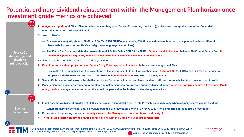### Potential ordinary dividend reinstatement within the Management Plan horizon once investment grade metrics are achieved

**€0.4**

| p.s.                                                             | A significant portion of Elliott Plan for value creation hinges on ServiceCo re-rating thanks to (i) deleverage through disposal of NetCo, and (ii)<br>reintroduction of the ordinary dividend                                                                              |
|------------------------------------------------------------------|-----------------------------------------------------------------------------------------------------------------------------------------------------------------------------------------------------------------------------------------------------------------------------|
| <b>ServiceCo</b><br>deleverage and<br>dividend<br>reintroduction | <b>Disposal of NetCo</b>                                                                                                                                                                                                                                                    |
|                                                                  | Disposal of a majority stake in NetCo at 8.3x EV / 2018 EBITDA assumed by Elliott is based on benchmarks of companies that have different<br>characteristics from current NetCo configuration (e.g. regulated utilities)                                                    |
|                                                                  | The Elliott Plan1 assumes debt deconsolidation of 4.0x Net Debt / EBITDA for NetCo. Optimal capital allocation between NetCo and ServiceCo will<br>ultimately depend on regulatory framework and competitive landscape, which are not yet stable                            |
|                                                                  | ServiceCo re-rating and reintroduction of ordinary dividend                                                                                                                                                                                                                 |
|                                                                  | ■ Cash flow and dividend projections for ServiceCo by Elliott appear not in line with the current Management Plan                                                                                                                                                           |
|                                                                  | ServiceCo's FCF is higher than the projections of the Management Plan: Elliott's estimate of €1.7bn of FCF for 2019 alone just for the ServiceCo<br>compares with the 2018-'20 TIM Group Cumulated FCF total of $\sim \epsilon 4.5$ bn <sup>2</sup> estimated by Management |
|                                                                  | ServiceCo business profile would be challenged by NetCo deconsolidation and large dividend outflows, potentially leading to weaker credit profile                                                                                                                           |
| $\mathsf{C}$                                                     | Management will consider proposing to the Board reinstatement of a progressive ordinary dividend policy, once the Company achieves Investment Grade<br>rating metrics; Management expects that this could happen within the horizon of the Management Plan                  |
| $\epsilon$ 0.1<br>p.s.                                           | Elliott assumes a dividend privilege of €0.0275 per saving share (€166m p.a. in total) <sup>3</sup> which is accurate only when ordinary shares pay no dividend                                                                                                             |
| <b>Savings</b>                                                   | When ordinary dividend per share is considered, the EPS accretion is only c. 3-4% vs c. 12-14% as reported in the Elliott's presentation<br>$\overbrace{\phantom{aaaaa}}$                                                                                                   |
| conversion                                                       | Conversion of the saving shares is routinely assessed by Management, but conditions must be right<br><b>College</b>                                                                                                                                                         |
|                                                                  | The ultimate decision on saving shares conversion sits with the Board and with TIM shareholders                                                                                                                                                                             |
|                                                                  | <b>Investor Meetings</b><br><sup>1</sup> Source: Elliott's presentation with the title "Transforming TIM" dated 9-Apr-2018 (www.transformingtim.com). <sup>2</sup> Source: TIM's 2018-2020 strategic plan. <sup>3</sup> When                                                |

ordinary shares pay dividend, saving share privilege is only €0.011 (€66m p.a. in total). Value creation per share as per Elliott's presentation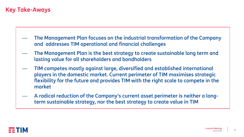### Key Take-Aways

- The Management Plan focuses on the industrial transformation of the Company and addresses TIM operational and financial challenges
- The Management Plan is the best strategy to create sustainable long term and lasting value for all shareholders and bondholders
- TIM competes mostly against large, diversified and established international players in the domestic market. Current perimeter of TIM maximises strategic flexibility for the future and provides TIM with the right scale to compete in the market
- A radical reduction of the Company's current asset perimeter is neither a longterm sustainable strategy, nor the best strategy to create value in TIM

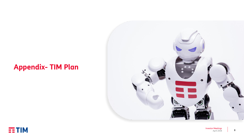## **Appendix- TIM Plan**



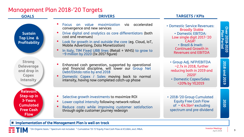#### Management Plan 2018-'20 Targets

| <b>GOALS</b>                                                                                    | <b>DRIVERS</b>                                                                                                                                                                                                                                                                                                                                                                  | <b>TARGETS / KPIs</b>                                                                                                                                                                                          |                               |
|-------------------------------------------------------------------------------------------------|---------------------------------------------------------------------------------------------------------------------------------------------------------------------------------------------------------------------------------------------------------------------------------------------------------------------------------------------------------------------------------|----------------------------------------------------------------------------------------------------------------------------------------------------------------------------------------------------------------|-------------------------------|
| <b>Sustain</b><br>Top Line &<br><b>Profitability</b>                                            | on value maximization<br>accelerated<br>Focus<br>via<br>convergence and new services<br>Drive digital and analytics as core differentiators (both<br>cost and revenues)<br>Look for growth in and outside the core (eg. Cloud, IoT,<br>Mobile Advertising, Data Monetization)<br>In Italy, TIM Fixed UBB lines (Retail + WHS) to grow to<br>~9 million by 2020 (3x 2017 figure) | • Domestic Service Revenues:<br><b>Broadly Stable</b><br>• Domestic EBITDA:<br>Low single digit 2017-'20<br>CAGR <sup>1</sup><br>· Brazil & Inwit:<br><b>Continued Growth in</b><br><b>Revenues and EBITDA</b> | Over 2018-2020<br>Plan Period |
| <b>Strong</b><br><b>Deleverage</b><br>and drop in<br>Capex<br><b>Intensity</b>                  | Enhanced cash generation, supported by operational<br>and financial discipline, will lower our Group Net<br>Debt/Ebitda ratio by end 2018<br>Domestic Capex / Sales moving back to normal<br>intensity, having now completed catch-up phase                                                                                                                                     | • Group Adj. NFP/EBITDA<br>$\sim$ 2.7x in 2018, further<br>reducing both in 2019 and<br>2020 <sup>2</sup><br>• Domestic Capex/Sales<br><20% by YE2019                                                          | 2018<br>qind<br>2019          |
| Relevant<br>Step-up in<br><b>3-Years</b><br><b>Cumulated</b><br><b>Free Cash</b><br><b>Flow</b> | Selective growth investments to maximize ROI<br>Lower capital intensity following network rollout<br>Reduce costs while improving customer satisfaction<br>through agile customer journey redesign                                                                                                                                                                              | • 2018-'20 Group Cumulated<br><b>Equity Free Cash Flow</b><br>of $\sim \epsilon$ 4.5bn <sup>3</sup> excluding<br>spectrum and pre-dividend                                                                     | 2020                          |

#### **Implementation of the Management Plan is well on track**

M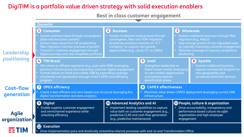### DigiTIM is a portfolio value driven strategy with solid execution enablers

#### **Best in class customer engagement**

|                                | <b>Domestic</b>                                                                                                                                                                                                                                                                                                         |                                                                                                                                                                                                                                            |                                                                                                                                                                          |                                                                                                                                                                                                                                                          |                                                                                                                                                            |
|--------------------------------|-------------------------------------------------------------------------------------------------------------------------------------------------------------------------------------------------------------------------------------------------------------------------------------------------------------------------|--------------------------------------------------------------------------------------------------------------------------------------------------------------------------------------------------------------------------------------------|--------------------------------------------------------------------------------------------------------------------------------------------------------------------------|----------------------------------------------------------------------------------------------------------------------------------------------------------------------------------------------------------------------------------------------------------|------------------------------------------------------------------------------------------------------------------------------------------------------------|
| Leadership<br>positioning      | <b>Consumer</b><br>Sustain premium base through convergence<br>(data and exclusive content)<br>Extract more value from CB accelerating<br>fiber migration and new avenues of growth<br>Transform customer engagement through<br>Digital journeys and new simplified portfolios                                          | <b>Business</b><br>$\mathbf{2}$<br>Sustain traditional revenue base through<br>convergence, fiber and VOIP migration<br>Accelerate evolution towards an "ICT<br>Company" to capture new growth<br>opportunities (e.g., cloud, ICT on SMEs) |                                                                                                                                                                          | $\mathbf{3}$<br>Wholesale<br>Sustain traditional revenues through fiber<br>migration (e.g., NetCo)<br>Step-change growth of non-regulated sales<br>by radically improving customer engagement<br>Optimize coverage to improve competitive<br>positioning |                                                                                                                                                            |
|                                | $\overline{4}$<br><b>TIM Brasil</b><br>Win share on affluent segments (e.g., post-paid SMB) leveraging<br>premium infrastructure and improving customer digital engagement<br>Further deliver on fixed and mobile UBB by expanding coverage<br>Accelerate cash generation through smart CAPEX and efficiency<br>program |                                                                                                                                                                                                                                            | $\mathbf{5}$<br><b>Inwit</b><br>Strengthen leadership on<br>Italian tower market leveraging<br>on new mobile opportunities<br>and leading network<br>densification phase |                                                                                                                                                                                                                                                          | <b>6</b> Sparkle<br>Sustain traditional business,<br>expand commercial footprint on<br>new geographies and<br>accelerate data/VAS services                 |
| <b>Cash-flow</b><br>qeneration | <b>OPEX efficiency</b><br>7<br>Create a lean efficient and zero-based cost structure leveraging the<br>digital transformation and data analytics                                                                                                                                                                        |                                                                                                                                                                                                                                            | <b>CAPEX effectiveness</b><br>8<br>Maximize value driven CAPEX deployment leveraging current UBB<br>infrastructure                                                       |                                                                                                                                                                                                                                                          |                                                                                                                                                            |
| <b>Agile</b><br>organization   | <b>9</b> Digital<br>Enable superior customer engagement<br>$\bullet$<br>and omnichannel experience while<br>unlocking efficiency                                                                                                                                                                                        | 10 Advanced Analytics and AI<br>• Implement leading capabilities to capture<br>(e.g., predictive maintenance)                                                                                                                              | value both on customer engagement (e.g.,<br>predictive CLM) and cash flow generation                                                                                     | $\bullet$<br>engagement                                                                                                                                                                                                                                  | <b>1</b> People, culture & organization<br>Drive accountability, transparency and<br>performance based culture via agile<br>organization and high employee |
|                                | $\mathbf{p}$<br><b>Execution</b>                                                                                                                                                                                                                                                                                        |                                                                                                                                                                                                                                            |                                                                                                                                                                          |                                                                                                                                                                                                                                                          |                                                                                                                                                            |

• Drive implementation pace and drastically streamline internal processes with end-to-end Transformation Office

三

TIM